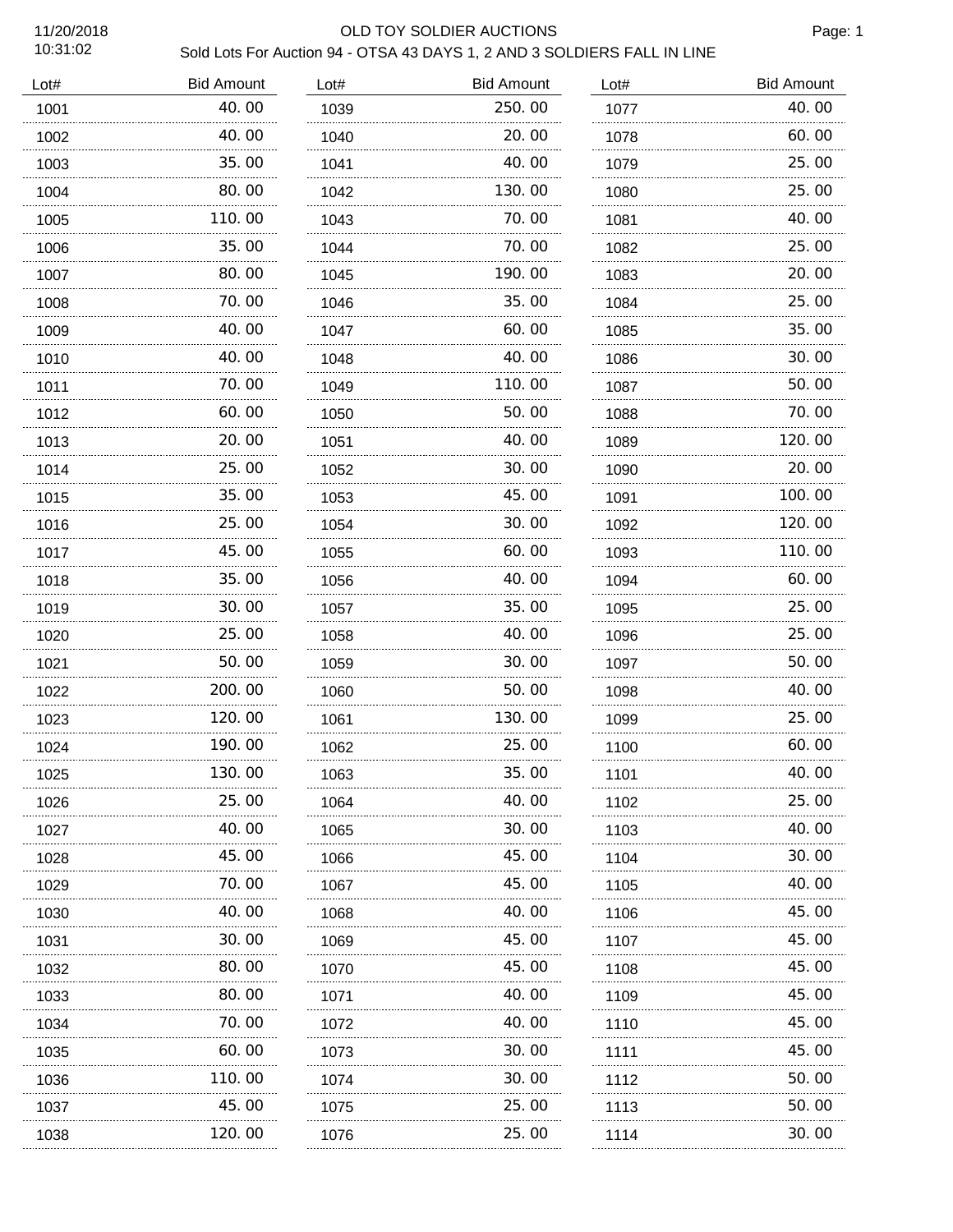## 11/20/2018 OLD TOY SOLDIER AUCTIONS

Page: 1

| Lot# | <b>Bid Amount</b> | Lot# | <b>Bid Amount</b> | Lot# | <b>Bid Amount</b> |
|------|-------------------|------|-------------------|------|-------------------|
| 1001 | 40.00             | 1039 | 250.00            | 1077 | 40.00             |
| 1002 | 40.00             | 1040 | 20.00             | 1078 | 60.00             |
| 1003 | 35.00             | 1041 | 40.00             | 1079 | 25.00             |
| 1004 | 80.00             | 1042 | 130.00            | 1080 | 25.00             |
| 1005 | 110.00            | 1043 | 70.00             | 1081 | 40.00             |
| 1006 | 35.00             | 1044 | 70.00             | 1082 | 25.00             |
| 1007 | 80.00             | 1045 | 190.00            | 1083 | 20.00             |
| 1008 | 70.00             | 1046 | 35.00             | 1084 | 25.00             |
| 1009 | 40.00             | 1047 | 60.00             | 1085 | 35.00             |
| 1010 | 40.00             | 1048 | 40.00             | 1086 | 30.00             |
| 1011 | 70.00             | 1049 | 110.00            | 1087 | 50.00             |
| 1012 | 60.00             | 1050 | 50.00             | 1088 | 70.00             |
| 1013 | 20.00             | 1051 | 40.00             | 1089 | 120.00            |
| 1014 | 25.00             | 1052 | 30.00             | 1090 | 20.00             |
| 1015 | 35.00             | 1053 | 45.00             | 1091 | 100.00            |
| 1016 | 25.00             | 1054 | 30.00             | 1092 | 120, 00           |
| 1017 | 45.00             | 1055 | 60.00             | 1093 | 110.00            |
| 1018 | 35.00             | 1056 | 40.00             | 1094 | 60.00             |
| 1019 | 30.00             | 1057 | 35.00             | 1095 | 25.00             |
| 1020 | 25.00             | 1058 | 40.00             | 1096 | 25.00             |
| 1021 | 50.00             | 1059 | 30.00             | 1097 | 50.00             |
| 1022 | 200.00            | 1060 | 50.00             | 1098 | 40.00             |
| 1023 | 120.00            | 1061 | 130.00            | 1099 | 25.00             |
| 1024 | 190.00            | 1062 | 25.00             | 1100 | 60.00             |
| 1025 | 130.00            | 1063 | 35.00             | 1101 | 40.00             |
| 1026 | 25.00             | 1064 | 40.00             | 1102 | 25.00             |
| 1027 | 40.00             | 1065 | 30.00             | 1103 | 40. 00            |
| 1028 | 45.00             | 1066 | 45.00             | 1104 | 30.00             |
| 1029 | 70.00             | 1067 | 45.00             | 1105 | 40.00             |
| 1030 | 40.00             | 1068 | 40.00             | 1106 | 45.00             |
| 1031 | 30.00<br>.        | 1069 | 45.00             | 1107 | 45.00             |
| 1032 | 80.00             | 1070 | 45.00             | 1108 | 45.00             |
| 1033 | 80.00<br>.        | 1071 | 40. 00            | 1109 | 45.00             |
| 1034 | 70.00             | 1072 | 40.00             | 1110 | 45.00             |
| 1035 | 60.00<br>.        | 1073 | 30.00             | 1111 | 45.00             |
| 1036 | 110. 00           | 1074 | 30.00             | 1112 | 50.00             |
| 1037 | 45.00             | 1075 | 25.00             | 1113 | 50.00             |
| 1038 | 120.00            | 1076 | 25.00             | 1114 | 30.00             |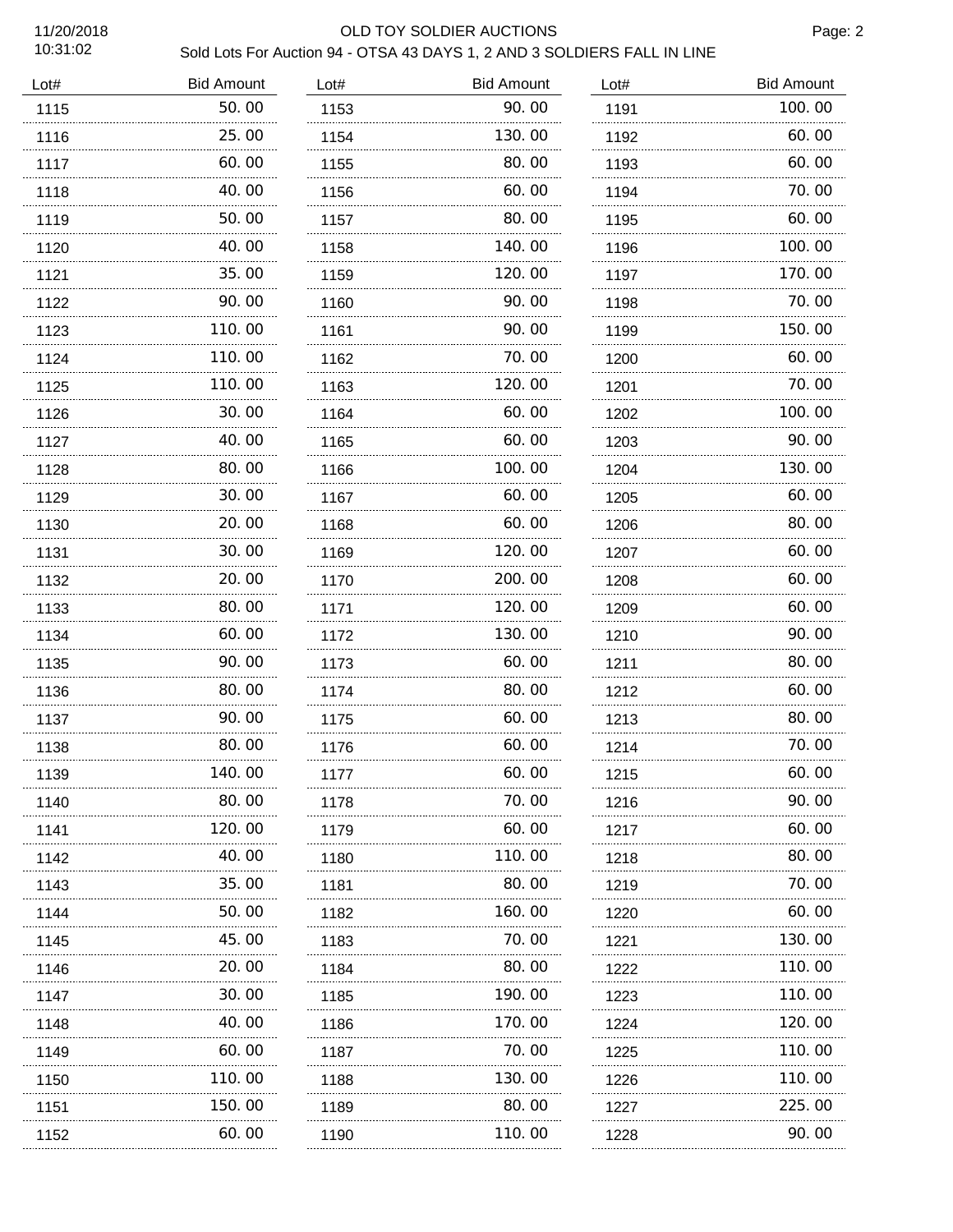## 11/20/2018 OLD TOY SOLDIER AUCTIONS

Page: 2

| <b>Bid Amount</b> | Lot#                  | <b>Bid Amount</b> | Lot#   | <b>Bid Amount</b> |
|-------------------|-----------------------|-------------------|--------|-------------------|
| 50.00             | 1153                  | 90.00             | 1191   | 100.00            |
| 25,00             | 1154                  | 130.00            | 1192   | 60.00             |
| 60. 00            | 1155                  | 80, 00            | 1193   | 60.00             |
| 40.00             | 1156                  | 60.00             | 1194   | 70.00             |
| 50.00             | 1157                  | 80.00             | 1195   | 60.00             |
| 40.00             | 1158                  | 140.00            | 1196   | 100.00            |
| 35.00             | 1159                  | 120.00            | 1197   | 170.00            |
| 90.00             | 1160                  | 90.00             | 1198   | 70.00             |
| 110.00            | 1161                  | 90.00             | 1199   | 150.00            |
| 110.00            | 1162                  | 70.00             | 1200   | 60.00             |
| 110.00            | 1163                  | 120. 00           | 1201   | 70.00             |
| 30.00             | 1164                  | 60.00             | 1202   | 100.00            |
| 40.00             | 1165                  | 60.00             | 1203   | 90.00             |
| 80.00             | 1166                  | 100.00            | 1204   | 130.00            |
| 30.00             | 1167                  | 60.00             | 1205   | 60.00             |
| 20.00             | 1168                  | 60.00             | 1206   | 80.00             |
| 30.00             | 1169                  | 120.00            | 1207   | 60.00             |
| 20.00             | 1170                  | 200.00            | 1208   | 60.00             |
| 80.00             | 1171                  | 120.00            | 1209   | 60.00             |
| 60.00             | 1172                  | 130.00            | 1210   | 90.00             |
| 90.00             | 1173                  | 60.00             | 1211   | 80.00             |
| 80.00             | 1174                  | 80.00<br>.        | 1212   | 60.00             |
| 90.00             | 1175                  | 60.00             | 1213   | 80.00             |
| 80.00             | 1176                  | 60.00             | 1214   | 70.00             |
| 140.00            | 1177                  | 60.00             | 1215   | 60.00             |
| 80.00             | 1178                  | 70.00             | 1216   | 90.00             |
| 120.00            | 1179                  | 60.00             | 1217   | 60.00             |
| 40.00             | 1180                  | 110.00            | 1218   | 80.00             |
| 35.00             | 1181                  | 80.00             | 1219   | 70.00             |
| 50.00             | 1182                  | 160.00            | 1220   | 60.00             |
| 45.00             | 1183                  | 70.00             | 1221   | 130.00            |
| 20.00             | 1184                  | 80, 00            | 1222   | 110.00            |
| 30.00             | 1185                  | 190.00            | 1223   | 110.00            |
| 40.00             | 1186                  | 170.00            | 1224   | 120.00            |
| 60.00             | 1187                  | 70.00             | 1225   | 110.00            |
| 110.00            | 1188                  | 130.00            | 1226   | 110.00            |
| 150.00            | 1189                  | 80.00             | 1227   | 225.00            |
| 60.00             | 1190                  | 110.00            | 1228   | 90.00             |
|                   | .<br>.<br>.<br>.<br>. |                   | .<br>. | .<br>.            |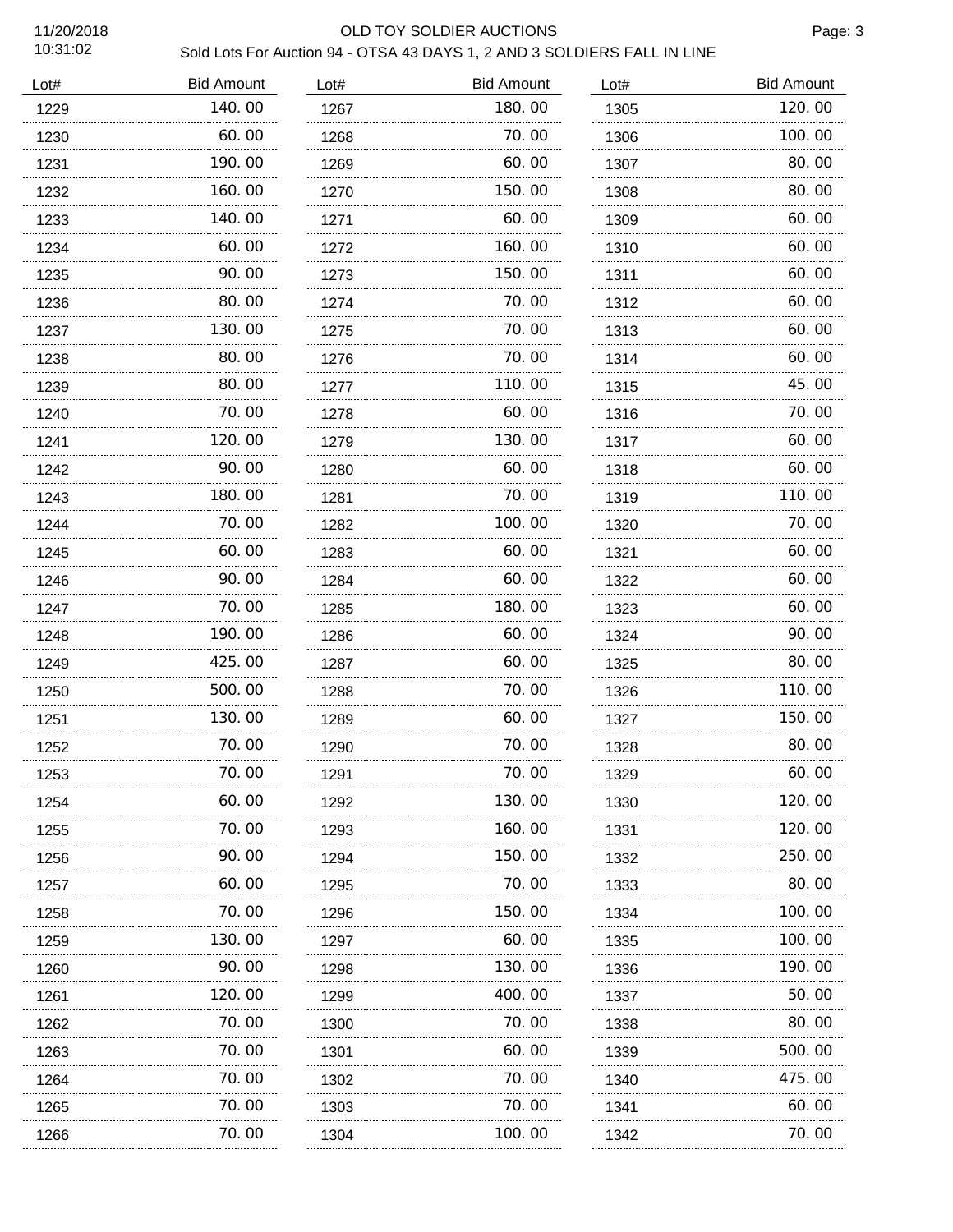### 11/20/2018 OLD TOY SOLDIER AUCTIONS

Page: 3

| Lot# | <b>Bid Amount</b> | Lot# | <b>Bid Amount</b> | Lot#      | <b>Bid Amount</b> |
|------|-------------------|------|-------------------|-----------|-------------------|
| 1229 | 140.00            | 1267 | 180.00            | 1305      | 120.00            |
| 1230 | 60.00             | 1268 | 70.00             | 1306      | 100.00            |
| 1231 | 190.00            | 1269 | 60.00             | 1307      | 80.00             |
| 1232 | 160.00            | 1270 | 150.00            | 1308      | 80.00             |
| 1233 | 140.00            | 1271 | 60.00             | 1309      | 60.00             |
| 1234 | 60.00             | 1272 | 160.00            | 1310      | 60.00             |
| 1235 | 90.00             | 1273 | 150. 00           | 1311<br>. | 60.00             |
| 1236 | 80.00             | 1274 | 70.00             | 1312      | 60.00             |
| 1237 | 130.00            | 1275 | 70.00             | 1313      | 60.00             |
| 1238 | 80.00             | 1276 | 70.00             | 1314      | 60.00             |
| 1239 | 80.00             | 1277 | 110.00            | 1315      | 45.00             |
| 1240 | 70. 00            | 1278 | 60.00             | 1316      | 70.00             |
| 1241 | 120.00            | 1279 | 130.00            | 1317      | 60.00             |
| 1242 | 90.00             | 1280 | 60.00             | 1318      | 60.00             |
| 1243 | 180.00            | 1281 | 70.00             | 1319      | 110.00            |
| 1244 | 70.00<br>.        | 1282 | 100.00            | 1320      | 70.00             |
| 1245 | 60.00             | 1283 | 60.00             | 1321      | 60.00             |
| 1246 | 90.00<br>.        | 1284 | 60.00<br>.        | 1322      | 60.00             |
| 1247 | 70.00             | 1285 | 180.00            | 1323      | 60.00             |
| 1248 | 190.00<br>.       | 1286 | 60.00             | 1324      | 90.00             |
| 1249 | 425.00            | 1287 | 60.00             | 1325      | 80.00             |
| 1250 | 500, 00<br>.      | 1288 | 70.00<br>.        | 1326      | 110.00            |
| 1251 | 130.00            | 1289 | 60.00             | 1327      | 150.00            |
| 1252 | 70.00<br>.        | 1290 | 70.00<br>.        | 1328      | 80.00             |
| 1253 | 70.00             | 1291 | 70.00             | 1329      | 60.00             |
| 1254 | 60.00             | 1292 | 130.00            | 1330      | 120.00            |
| 1255 | 70.00             | 1293 | 160.00            | 1331      | 120.00            |
| 1256 | 90.00             | 1294 | 150.00            | 1332      | 250.00            |
| 1257 | 60.00             | 1295 | 70.00             | 1333      | 80.00             |
| 1258 | 70.00             | 1296 | 150.00            | 1334      | 100.00            |
| 1259 | 130. 00           | 1297 | 60.00             | 1335      | 100.00            |
| 1260 | 90.00             | 1298 | 130.00            | 1336      | 190.00            |
| 1261 | 120.00            | 1299 | 400.00            | 1337      | 50.00             |
| 1262 | 70.00             | 1300 | 70.00             | 1338      | 80.00             |
| 1263 | 70.00             | 1301 | 60. 00            | 1339      | 500.00            |
| 1264 | 70.00             | 1302 | 70.00             | 1340      | 475.00            |
| 1265 | 70.00             | 1303 | 70.00             | 1341      | 60.00             |
| 1266 | 70.00             | 1304 | 100.00            | 1342      | 70.00             |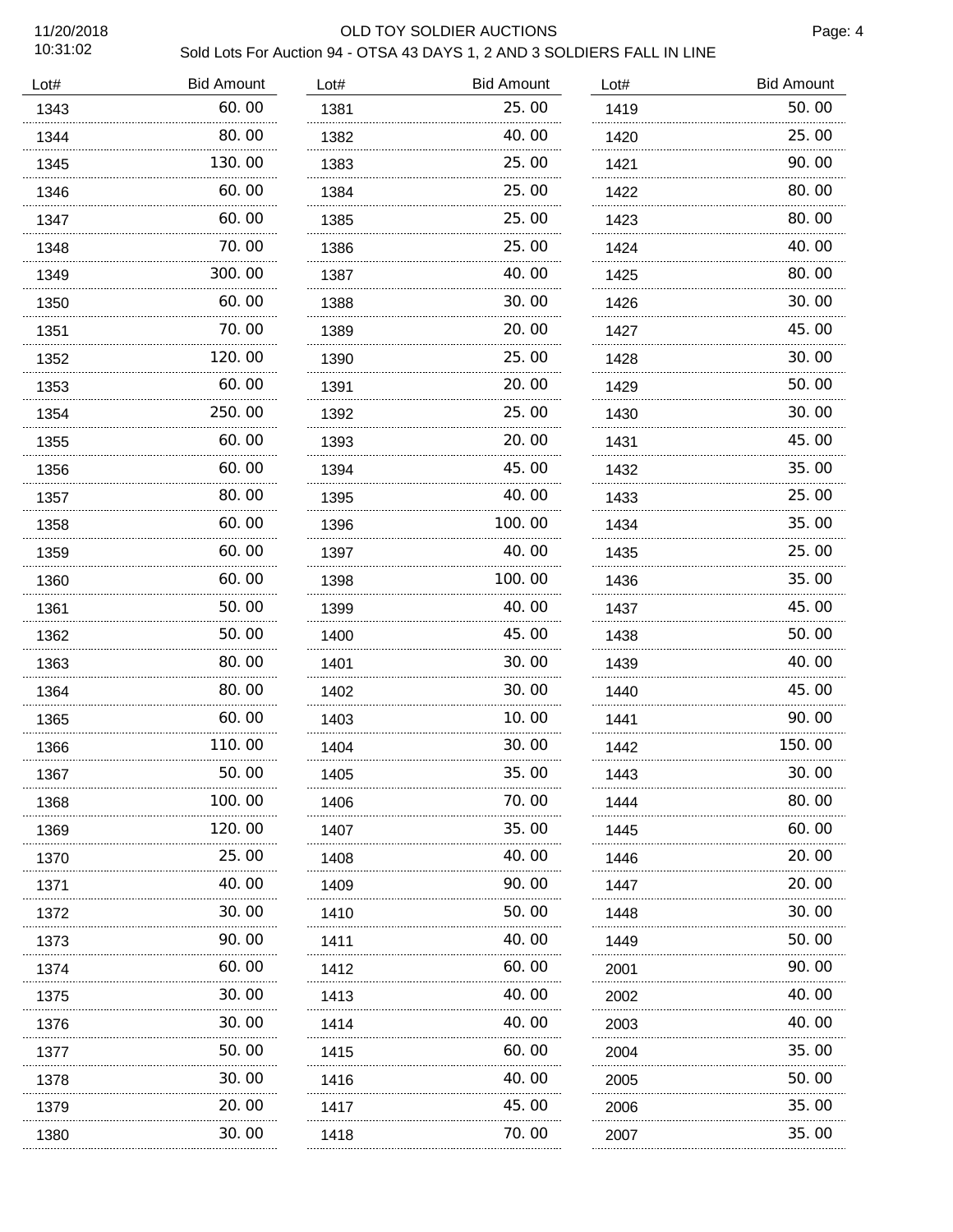### 11/20/2018 OLD TOY SOLDIER AUCTIONS

Page: 4

| Lot# | <b>Bid Amount</b> | Lot# | <b>Bid Amount</b> | Lot# | <b>Bid Amount</b> |
|------|-------------------|------|-------------------|------|-------------------|
| 1343 | 60.00             | 1381 | 25.00             | 1419 | 50.00             |
| 1344 | 80.00             | 1382 | 40.00             | 1420 | 25.00             |
| 1345 | 130.00            | 1383 | 25,00             | 1421 | 90.00             |
| 1346 | 60.00             | 1384 | 25.00             | 1422 | 80.00             |
| 1347 | 60.00             | 1385 | 25,00             | 1423 | 80.00             |
| 1348 | 70.00             | 1386 | 25,00             | 1424 | 40.00             |
| 1349 | 300.00            | 1387 | 40.00             | 1425 | 80.00             |
| 1350 | 60.00             | 1388 | 30.00             | 1426 | 30.00             |
| 1351 | 70.00             | 1389 | 20, 00            | 1427 | 45.00             |
| 1352 | 120.00            | 1390 | 25.00             | 1428 | 30.00             |
| 1353 | 60.00             | 1391 | 20.00             | 1429 | 50.00             |
| 1354 | 250.00<br>.       | 1392 | 25.00             | 1430 | 30.00             |
| 1355 | 60.00             | 1393 | 20.00             | 1431 | 45.00             |
| 1356 | 60.00             | 1394 | 45.00             | 1432 | 35.00             |
| 1357 | 80.00             | 1395 | 40.00             | 1433 | 25.00             |
| 1358 | 60.00<br>.        | 1396 | 100.00            | 1434 | 35.00             |
| 1359 | 60.00             | 1397 | 40. 00            | 1435 | 25.00             |
| 1360 | 60.00             | 1398 | 100.00            | 1436 | 35.00             |
| 1361 | 50.00             | 1399 | 40.00             | 1437 | 45.00             |
| 1362 | 50.00<br>.        | 1400 | 45.00             | 1438 | 50.00             |
| 1363 | 80.00             | 1401 | 30.00             | 1439 | 40.00             |
| 1364 | 80.00             | 1402 | 30.00             | 1440 | 45.00             |
| 1365 | 60.00             | 1403 | 10.00             | 1441 | 90.00             |
| 1366 | 110.00            | 1404 | 30.00             | 1442 | 150.00            |
| 1367 | 50.00             | 1405 | 35.00             | 1443 | 30.00             |
| 1368 | 100.00            | 1406 | 70.00             | 1444 | 80.00             |
| 1369 | 120.00            | 1407 | 35.00             | 1445 | 60.00             |
| 1370 | 25.00             | 1408 | 40.00             | 1446 | 20.00             |
| 1371 | 40.00             | 1409 | 90.00             | 1447 | 20.00             |
| 1372 | 30.00             | 1410 | 50.00             | 1448 | 30.00             |
| 1373 | 90.00             | 1411 | 40.00             | 1449 | 50.00             |
| 1374 | 60.00             | 1412 | 60.00             | 2001 | 90.00             |
| 1375 | 30.00             | 1413 | 40.00             | 2002 | 40.00             |
| 1376 | 30. 00            | 1414 | 40.00             | 2003 | 40.00             |
| 1377 | 50.00             | 1415 | 60.00             | 2004 | 35.00             |
| 1378 | 30.00             | 1416 | 40.00             | 2005 | 50.00             |
| 1379 | 20.00             | 1417 | 45.00             | 2006 | 35.00             |
| 1380 | 30.00             | 1418 | 70.00             | 2007 | 35.00             |
|      |                   |      |                   |      |                   |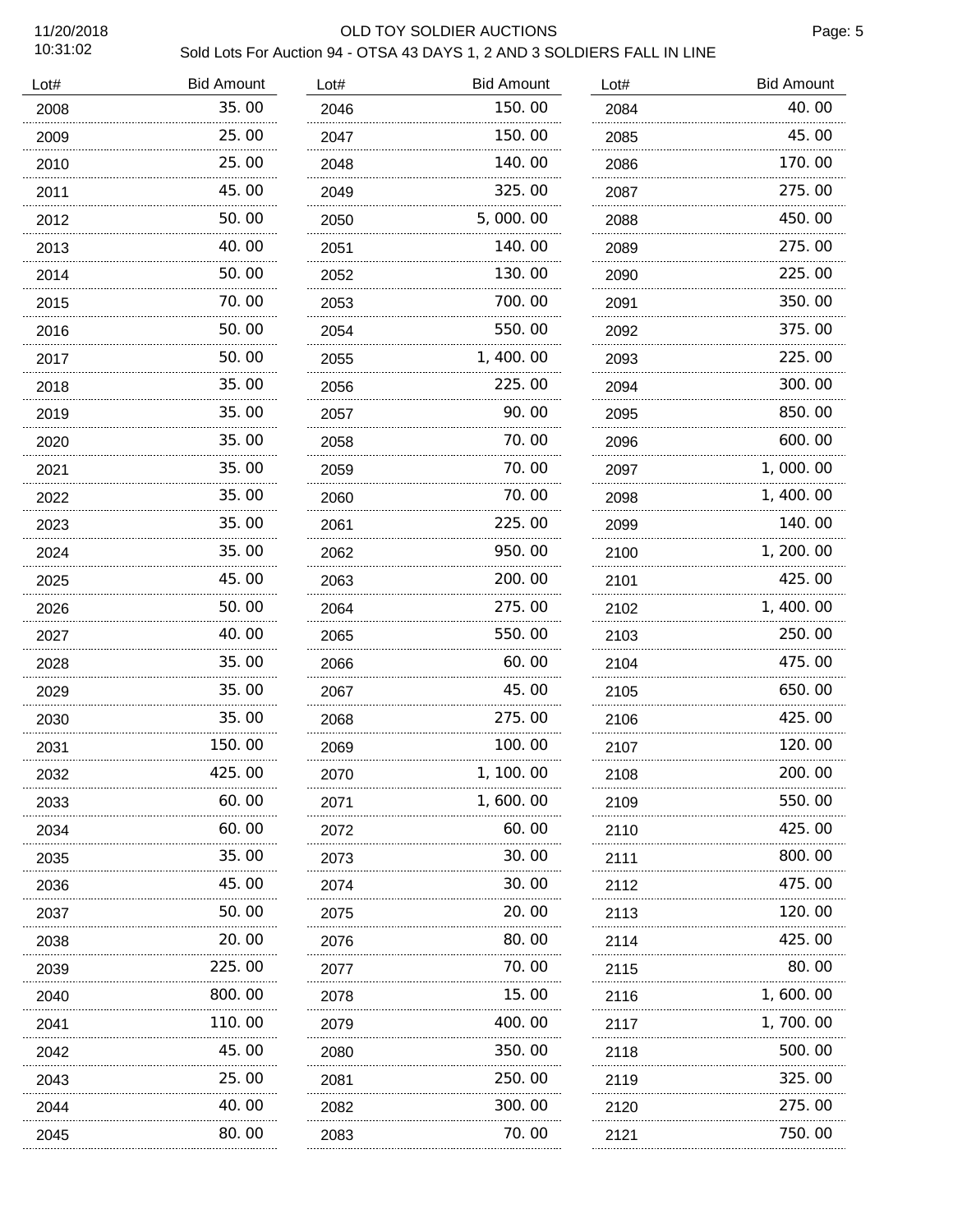## 11/20/2018 OLD TOY SOLDIER AUCTIONS

Page: 5

| Lot# | <b>Bid Amount</b> | Lot# | <b>Bid Amount</b> | Lot# | <b>Bid Amount</b> |
|------|-------------------|------|-------------------|------|-------------------|
| 2008 | 35.00             | 2046 | 150.00            | 2084 | 40.00             |
| 2009 | 25.00             | 2047 | 150.00            | 2085 | 45.00             |
| 2010 | 25.00             | 2048 | 140.00            | 2086 | 170.00            |
| 2011 | 45.00             | 2049 | 325.00            | 2087 | 275.00            |
| 2012 | 50.00             | 2050 | 5,000.00          | 2088 | 450.00            |
| 2013 | 40.00             | 2051 | 140.00            | 2089 | 275.00            |
| 2014 | 50.00             | 2052 | 130.00            | 2090 | 225.00            |
| 2015 | 70.00             | 2053 | 700.00            | 2091 | 350.00            |
| 2016 | 50.00             | 2054 | 550.00            | 2092 | 375.00            |
| 2017 | 50.00             | 2055 | 1, 400. 00        | 2093 | 225.00            |
| 2018 | 35.00             | 2056 | 225.00            | 2094 | 300.00            |
| 2019 | 35.00             | 2057 | 90.00             | 2095 | 850.00            |
| 2020 | 35.00             | 2058 | 70.00             | 2096 | 600.00            |
| 2021 | 35.00             | 2059 | 70.00             | 2097 | 1,000.00          |
| 2022 | 35.00             | 2060 | 70.00             | 2098 | 1,400.00          |
| 2023 | 35.00             | 2061 | 225.00            | 2099 | 140.00            |
| 2024 | 35.00             | 2062 | 950.00            | 2100 | 1, 200. 00        |
| 2025 | 45.00             | 2063 | 200.00            | 2101 | 425.00            |
| 2026 | 50.00             | 2064 | 275.00            | 2102 | 1, 400.00         |
| 2027 | 40.00<br>.        | 2065 | 550.00            | 2103 | 250.00            |
| 2028 | 35.00             | 2066 | 60.00             | 2104 | 475.00            |
| 2029 | 35.00<br>.        | 2067 | 45.00             | 2105 | 650.00            |
| 2030 | 35.00             | 2068 | 275.00            | 2106 | 425.00            |
| 2031 | 150.00            | 2069 | 100.00            | 2107 | 120.00            |
| 2032 | 425.00            | 2070 | 1, 100. 00        | 2108 | 200.00            |
| 2033 | 60.00             | 2071 | 1,600.00          | 2109 | 550.00            |
| 2034 | 60.00             | 2072 | 60. 00            | 2110 | 425.00            |
| 2035 | 35.00             | 2073 | 30.00             | 2111 | 800.00            |
| 2036 | 45.00             | 2074 | 30. 00            | 2112 | 475.00            |
| 2037 | 50.00             | 2075 | 20.00             | 2113 | 120.00            |
| 2038 | 20.00             | 2076 | 80. 00            | 2114 | 425.00            |
| 2039 | 225.00            | 2077 | 70.00             | 2115 | 80.00             |
| 2040 | 800.00            | 2078 | 15.00             | 2116 | 1, 600. 00        |
| 2041 | 110.00            | 2079 | 400.00            | 2117 | 1, 700. 00        |
| 2042 | 45.00             | 2080 | 350.00            | 2118 | 500.00            |
| 2043 | 25.00             | 2081 | 250.00            | 2119 | 325.00            |
| 2044 | 40.00             | 2082 | 300.00            | 2120 | 275.00            |
| 2045 | 80.00             | 2083 | 70.00             | 2121 | 750.00            |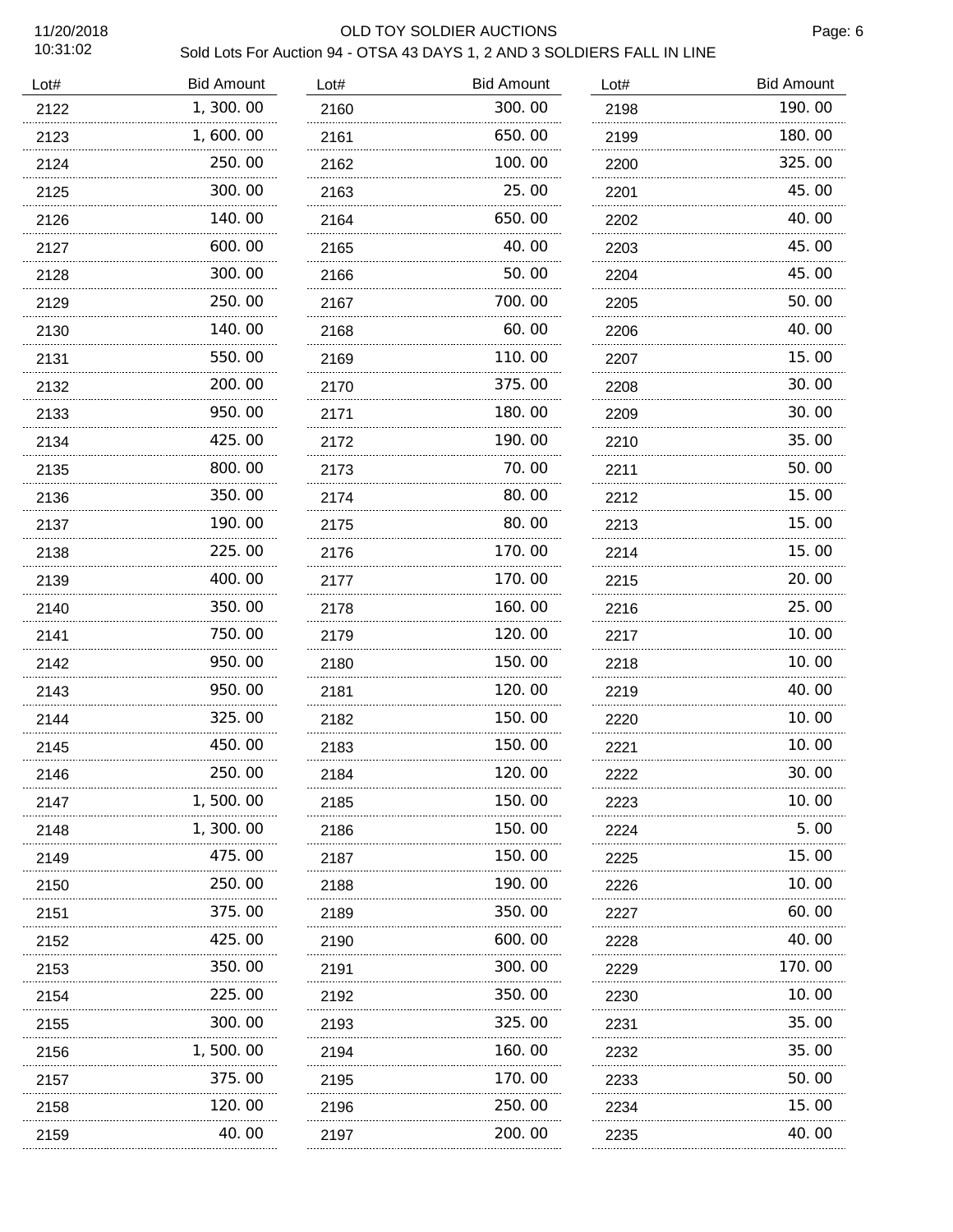## 11/20/2018 OLD TOY SOLDIER AUCTIONS

Page: 6

| Lot# | <b>Bid Amount</b> | Lot#      | <b>Bid Amount</b> | Lot#      | <b>Bid Amount</b> |
|------|-------------------|-----------|-------------------|-----------|-------------------|
| 2122 | 1,300.00          | 2160      | 300.00            | 2198      | 190.00            |
| 2123 | 1,600.00          | 2161      | 650.00            | 2199      | 180.00            |
| 2124 | 250.00            | 2162      | 100.00            | 2200      | 325.00            |
| 2125 | 300.00            | 2163      | 25.00             | 2201      | 45.00             |
| 2126 | 140. 00<br>.      | 2164      | 650.00            | 2202      | 40.00             |
| 2127 | 600.00            | 2165      | 40.00             | 2203      | 45.00             |
| 2128 | 300.00            | 2166      | 50.00             | 2204      | 45.00             |
| 2129 | 250.00            | 2167      | 700.00            | 2205      | 50.00             |
| 2130 | 140.00            | 2168      | 60.00             | 2206      | 40.00             |
| 2131 | 550.00            | 2169      | 110.00            | 2207      | 15.00             |
| 2132 | 200. 00           | 2170      | 375.00            | 2208      | 30.00             |
| 2133 | 950.00            | 2171      | 180.00            | 2209      | 30.00             |
| 2134 | 425.00            | 2172      | 190.00            | 2210      | 35.00             |
| 2135 | 800.00            | 2173      | 70.00             | 2211      | 50.00             |
| 2136 | 350.00            | 2174      | 80.00             | 2212      | 15.00             |
| 2137 | 190.00            | 2175      | 80.00             | 2213      | 15.00             |
| 2138 | 225.00            | 2176      | 170.00            | 2214      | 15.00             |
| 2139 | 400.00            | .<br>2177 | 170.00            | 2215      | 20.00             |
| 2140 | 350.00            | 2178      | 160.00            | 2216      | 25.00             |
| 2141 | 750.00            | 2179      | 120.00            | 2217      | 10.00             |
| 2142 | 950.00            | 2180      | 150.00            | 2218      | 10.00             |
| 2143 | 950.00            | 2181      | 120.00            | .<br>2219 | 40.00             |
| 2144 | 325.00            | 2182      | 150.00            | 2220      | 10.00             |
| 2145 | 450.00            | 2183      | 150.00            | 2221      | 10.00             |
| 2146 | 250.00            | 2184      | 120.00            | 2222      | 30.00             |
| 2147 | 1, 500. 00        | 2185      | 150.00            | 2223      | 10.00             |
| 2148 | 1, 300. 00        | 2186      | 150. 00           | 2224      | 5.00              |
| 2149 | 475.00            | 2187      | 150. 00           | 2225      | 15.00             |
| 2150 | 250. 00           | 2188      | 190. 00           | 2226      | 10.00             |
| 2151 | 375.00            | 2189      | 350.00            | 2227      | 60.00             |
| 2152 | 425.00            | 2190      | 600.00            | 2228      | 40.00             |
| 2153 | 350.00            | 2191      | 300.00            | 2229      | 170.00            |
| 2154 | 225.00            | 2192      | 350.00            | 2230      | 10.00             |
| 2155 | 300.00            | 2193      | 325.00            | 2231      | 35.00             |
| 2156 | 1, 500. 00        | 2194      | 160.00            | 2232      | 35.00             |
| 2157 | 375.00            | 2195      | 170.00            | 2233      | 50.00             |
| 2158 | 120.00            | 2196      | 250.00            | 2234      | 15.00             |
| 2159 | 40.00             | 2197      | 200.00            | 2235      | 40.00             |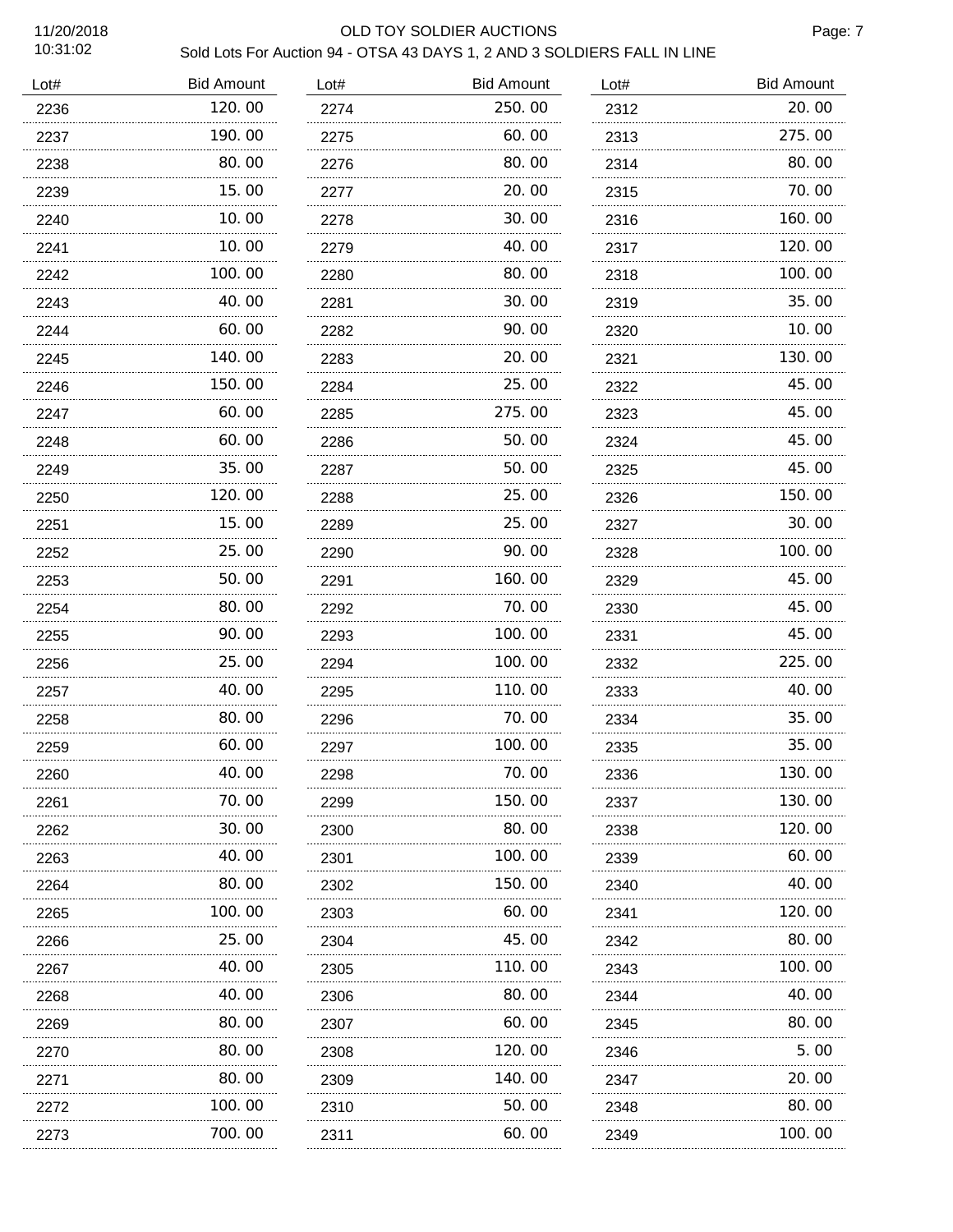# 11/20/2018 OLD TOY SOLDIER AUCTIONS

Page: 7

| Lot# | <b>Bid Amount</b> | Lot# | <b>Bid Amount</b> | Lot# | <b>Bid Amount</b> |
|------|-------------------|------|-------------------|------|-------------------|
| 2236 | 120.00            | 2274 | 250.00            | 2312 | 20.00             |
| 2237 | 190.00            | 2275 | 60.00             | 2313 | 275.00            |
| 2238 | 80.00             | 2276 | 80.00             | 2314 | 80.00             |
| 2239 | 15.00             | 2277 | 20.00             | 2315 | 70.00             |
| 2240 | 10.00             | 2278 | 30.00             | 2316 | 160.00            |
| 2241 | 10.00             | 2279 | 40.00             | 2317 | 120.00            |
| 2242 | 100.00            | 2280 | 80.00             | 2318 | 100.00            |
| 2243 | 40.00             | 2281 | 30.00             | 2319 | 35.00             |
| 2244 | 60.00             | 2282 | 90.00             | 2320 | 10.00             |
| 2245 | 140.00            | 2283 | 20.00             | 2321 | 130.00            |
| 2246 | 150.00            | 2284 | 25.00             | 2322 | 45.00             |
| 2247 | 60.00             | 2285 | 275.00            | 2323 | 45.00             |
| 2248 | 60.00             | 2286 | 50.00             | 2324 | 45.00             |
| 2249 | 35.00             | 2287 | 50.00             | 2325 | 45.00             |
| 2250 | 120.00            | 2288 | 25.00             | 2326 | 150.00            |
| 2251 | 15.00             | 2289 | 25.00             | 2327 | 30.00             |
| 2252 | 25.00             | 2290 | 90.00             | 2328 | 100.00            |
| 2253 | 50.00             | 2291 | 160.00            | 2329 | 45.00             |
| 2254 | 80.00             | 2292 | 70.00             | 2330 | 45.00             |
| 2255 | 90.00             | 2293 | 100. 00           | 2331 | 45.00             |
| 2256 | 25.00             | 2294 | 100.00            | 2332 | 225.00            |
| 2257 | 40.00             | 2295 | 110.00            | 2333 | 40.00             |
| 2258 | 80.00             | 2296 | 70.00             | 2334 | 35.00             |
| 2259 | 60.00             | 2297 | 100.00            | 2335 | 35.00             |
| 2260 | 40.00             | 2298 | 70.00             | 2336 | 130. OO           |
| 2261 | 70.00             | 2299 | 150.00            | 2337 | 130.00            |
| 2262 | 30.00             | 2300 | 80.00             | 2338 | 120.00            |
| 2263 | 40.00             | 2301 | 100.00            | 2339 | 60.00             |
| 2264 | 80.00             | 2302 | 150.00            | 2340 | 40.00             |
| 2265 | 100.00            | 2303 | 60.00             | 2341 | 120.00            |
| 2266 | 25.00             | 2304 | 45.00             | 2342 | 80.00             |
| 2267 | 40.00             | 2305 | 110.00            | 2343 | 100.00            |
| 2268 | 40.00<br>.        | 2306 | 80.00             | 2344 | 40.00             |
| 2269 | 80.00             | 2307 | 60.00             | 2345 | 80.00             |
| 2270 | 80.00             | 2308 | 120.00            | 2346 | 5.00              |
| 2271 | 80.00             | 2309 | 140.00            | 2347 | 20.00             |
| 2272 | 100. 00<br>.      | 2310 | 50.00             | 2348 | 80.00             |
| 2273 | 700. 00           | 2311 | 60.00             | 2349 | 100.00            |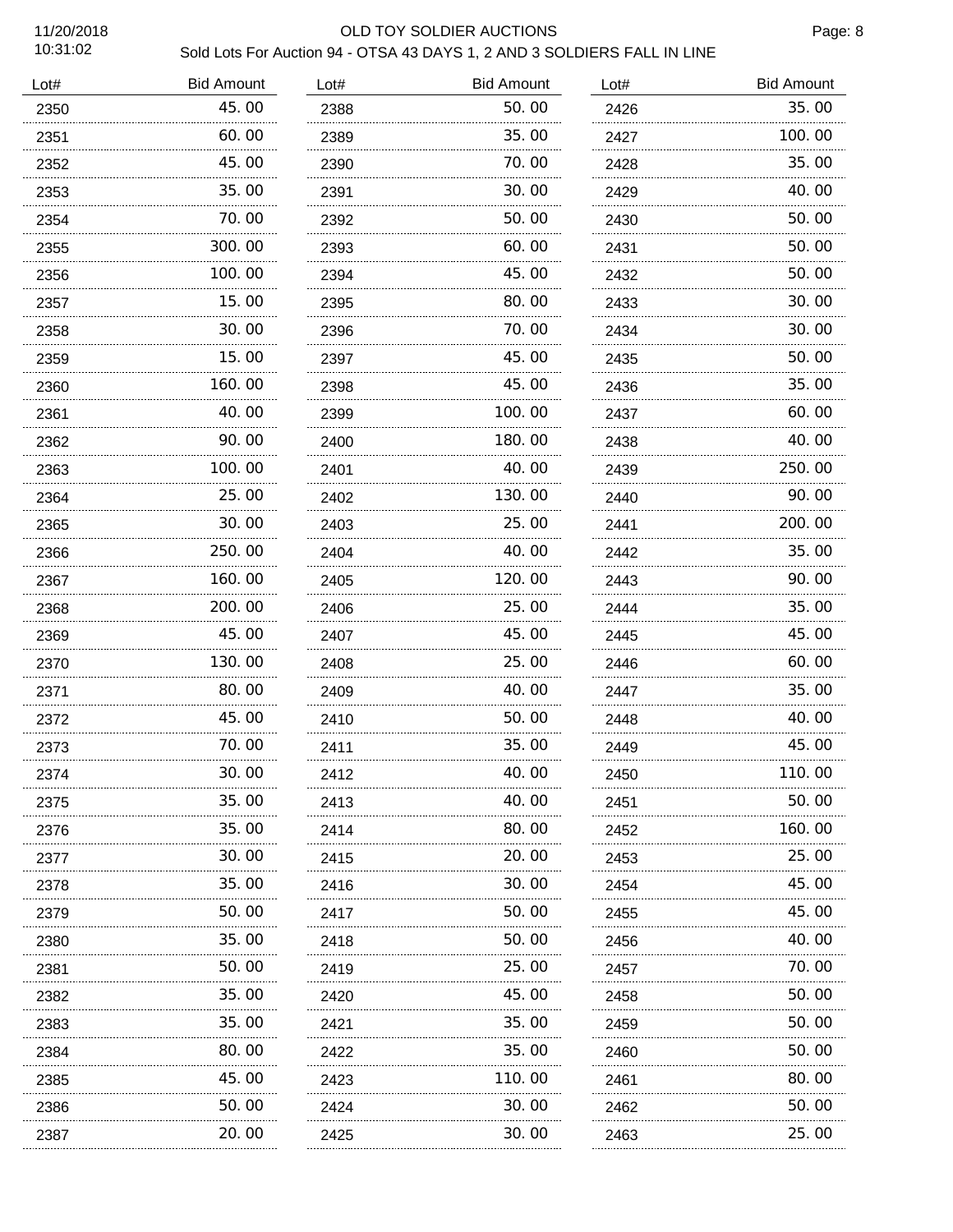## 11/20/2018 OLD TOY SOLDIER AUCTIONS

Page: 8

| Lot# | <b>Bid Amount</b> | Lot# | <b>Bid Amount</b> | Lot# | <b>Bid Amount</b> |
|------|-------------------|------|-------------------|------|-------------------|
| 2350 | 45.00             | 2388 | 50.00             | 2426 | 35.00             |
| 2351 | 60.00             | 2389 | 35.00             | 2427 | 100.00            |
| 2352 | 45.00             | 2390 | 70. 00            | 2428 | 35.00             |
| 2353 | 35.00             | 2391 | 30.00             | 2429 | 40.00             |
| 2354 | 70.00             | 2392 | 50.00             | 2430 | 50.00             |
| 2355 | 300.00            | 2393 | 60.00             | 2431 | 50.00             |
| 2356 | 100.00            | 2394 | 45.00             | 2432 | 50.00             |
| 2357 | 15.00             | 2395 | 80.00             | 2433 | 30.00             |
| 2358 | 30.00             | 2396 | 70.00             | 2434 | 30.00             |
| 2359 | 15.00             | 2397 | 45.00             | 2435 | 50.00             |
| 2360 | 160.00            | 2398 | 45.00             | 2436 | 35.00             |
| 2361 | 40.00             | 2399 | 100. 00           | 2437 | 60.00             |
| 2362 | 90.00             | 2400 | 180.00            | 2438 | 40.00             |
| 2363 | 100.00            | 2401 | 40.00             | 2439 | 250.00            |
| 2364 | 25.00             | 2402 | 130.00            | 2440 | 90.00             |
| 2365 | 30.00<br>.        | 2403 | 25.00             | 2441 | 200.00            |
| 2366 | 250.00            | 2404 | 40.00             | 2442 | 35.00             |
| 2367 | 160.00            | 2405 | 120.00            | 2443 | 90.00             |
| 2368 | 200.00            | 2406 | 25.00             | 2444 | 35.00             |
| 2369 | 45.00             | 2407 | 45.00             | 2445 | 45.00             |
| 2370 | .<br>130.00       | 2408 | 25.00             | 2446 | 60.00             |
| 2371 | 80.00<br>.        | 2409 | 40.00             | 2447 | 35.00             |
| 2372 | 45.00             | 2410 | 50.00             | 2448 | 40.00             |
| 2373 | 70.00<br>.        | 2411 | 35.00             | 2449 | 45.00             |
| 2374 | 30.00             | 2412 | 40.00             | 2450 | 110.00            |
| 2375 | 35.00             | 2413 | 40.00             | 2451 | 50.00             |
| 2376 | 35.00             | 2414 | 80.00             | 2452 | 160.00            |
| 2377 | 30.00             | 2415 | 20.00             | 2453 | 25.00             |
| 2378 | 35.00             | 2416 | 30.00             | 2454 | 45.00             |
| 2379 | 50.00             | 2417 | 50.00             | 2455 | 45.00             |
| 2380 | 35.00             | 2418 | 50.00             | 2456 | 40.00             |
| 2381 | 50.00             | 2419 | 25.00             | 2457 | 70.00             |
| 2382 | 35.00             | 2420 | 45.00             | 2458 | 50.00             |
| 2383 | 35.00             | 2421 | 35.00             | 2459 | 50.00             |
| 2384 | 80.00             | 2422 | 35.00             | 2460 | 50.00             |
| 2385 | 45.00             | 2423 | 110.00            | 2461 | 80.00             |
| 2386 | 50.00             | 2424 | 30.00             | 2462 | 50.00             |
| 2387 | 20.00             | 2425 | 30.00             | 2463 | 25.00             |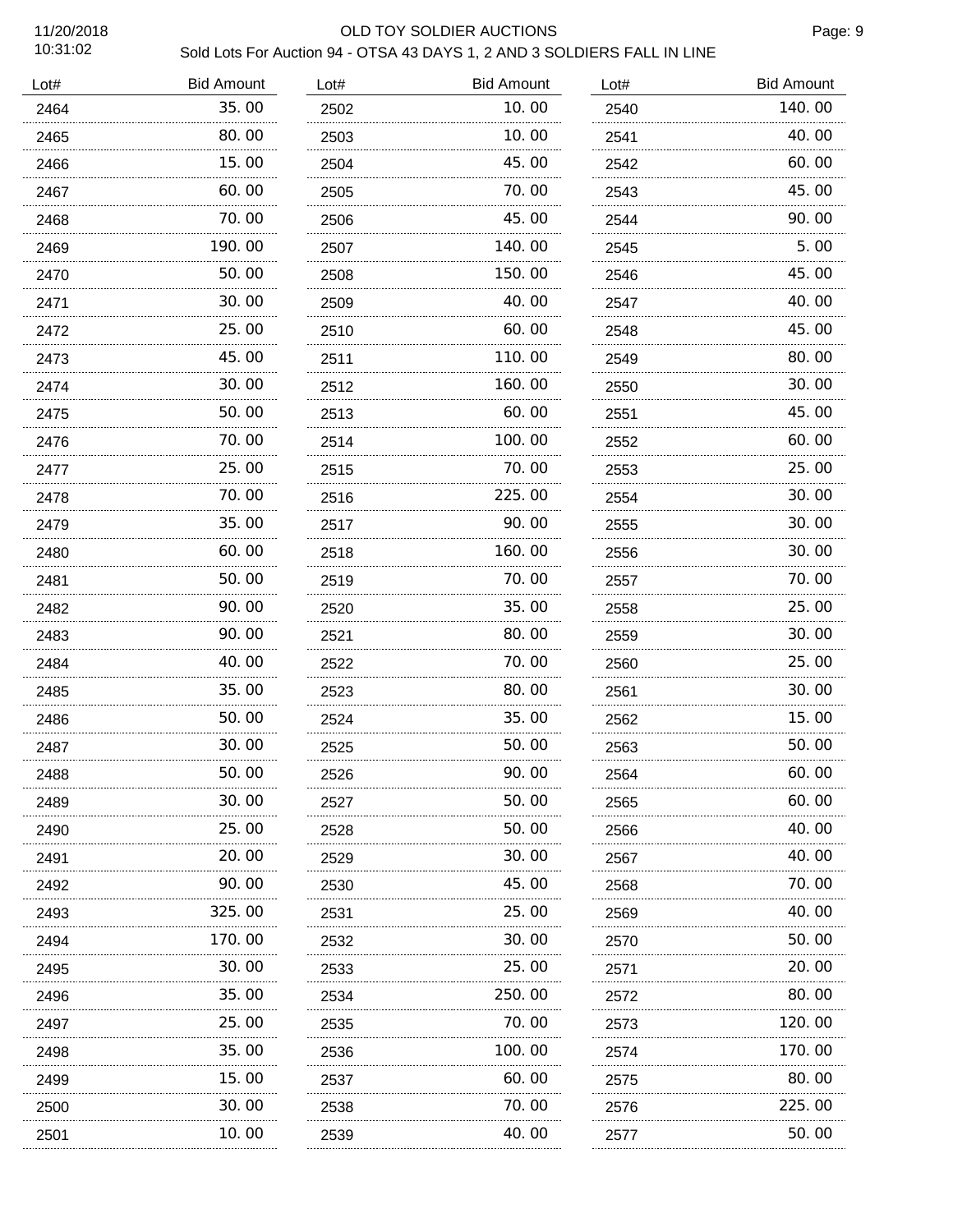### 11/20/2018 OLD TOY SOLDIER AUCTIONS

Page: 9

| Lot# | <b>Bid Amount</b> | Lot# | <b>Bid Amount</b> | Lot# | <b>Bid Amount</b> |
|------|-------------------|------|-------------------|------|-------------------|
| 2464 | 35.00             | 2502 | 10.00             | 2540 | 140.00            |
| 2465 | 80.00             | 2503 | 10.00             | 2541 | 40.00             |
| 2466 | 15. 00            | 2504 | 45.00             | 2542 | 60.00             |
| 2467 | 60.00             | 2505 | 70.00             | 2543 | 45.00             |
| 2468 | 70.00             | 2506 | 45.00             | 2544 | 90.00             |
| 2469 | 190.00            | 2507 | 140.00            | 2545 | 5.00              |
| 2470 | 50.00             | 2508 | 150.00            | 2546 | 45.00             |
| 2471 | 30.00             | 2509 | 40.00             | 2547 | 40.00             |
| 2472 | 25.00             | 2510 | 60.00             | 2548 | 45.00             |
| 2473 | 45.00             | 2511 | 110.00            | 2549 | 80.00             |
| 2474 | 30.00             | 2512 | 160.00            | 2550 | 30.00             |
| 2475 | 50.00             | 2513 | 60.00             | 2551 | 45.00             |
| 2476 | 70.00             | 2514 | 100.00            | 2552 | 60.00             |
| 2477 | 25.00             | 2515 | 70.00             | 2553 | 25.00             |
| 2478 | 70.00             | 2516 | 225.00            | 2554 | 30.00             |
| 2479 | 35.00<br>.        | 2517 | 90.00             | 2555 | 30.00             |
| 2480 | 60.00             | 2518 | 160.00            | 2556 | 30.00             |
| 2481 | 50.00<br>.        | 2519 | 70.00             | 2557 | 70.00             |
| 2482 | 90.00             | 2520 | 35.00             | 2558 | 25.00             |
| 2483 | 90.00             | 2521 | 80.00             | 2559 | 30.00             |
| 2484 | 40.00             | 2522 | 70.00             | 2560 | 25.00             |
| 2485 | 35.00             | 2523 | 80.00             | 2561 | 30.00             |
| 2486 | 50.00             | 2524 | 35.00             | 2562 | 15.00             |
| 2487 | 30.00             | 2525 | 50.00             | 2563 | 50.00             |
| 2488 | 50.00             | 2526 | 90.00             | 2564 | 60.00             |
| 2489 | 30.00             | 2527 | 50.00             | 2565 | 60.00             |
| 2490 | 25.00             | 2528 | 50.00             | 2566 | 40.00             |
| 2491 | 20.00             | 2529 | 30.00             | 2567 | 40.00             |
| 2492 | 90.00             | 2530 | 45.00             | 2568 | 70.00             |
| 2493 | 325.00            | 2531 | 25.00             | 2569 | 40.00             |
| 2494 | 170.00            | 2532 | 30.00             | 2570 | 50.00             |
| 2495 | 30.00             | 2533 | 25.00             | 2571 | 20.00             |
| 2496 | 35.00             | 2534 | 250.00            | 2572 | 80.00             |
| 2497 | 25.00             | 2535 | 70.00             | 2573 | 120.00            |
| 2498 | 35.00             | 2536 | 100.00            | 2574 | 170.00            |
| 2499 | 15. 00            | 2537 | 60.00             | 2575 | 80.00             |
| 2500 | 30. 00            | 2538 | 70.00             | 2576 | 225.00            |
| 2501 | 10.00             | 2539 | 40.00             | 2577 | 50.00             |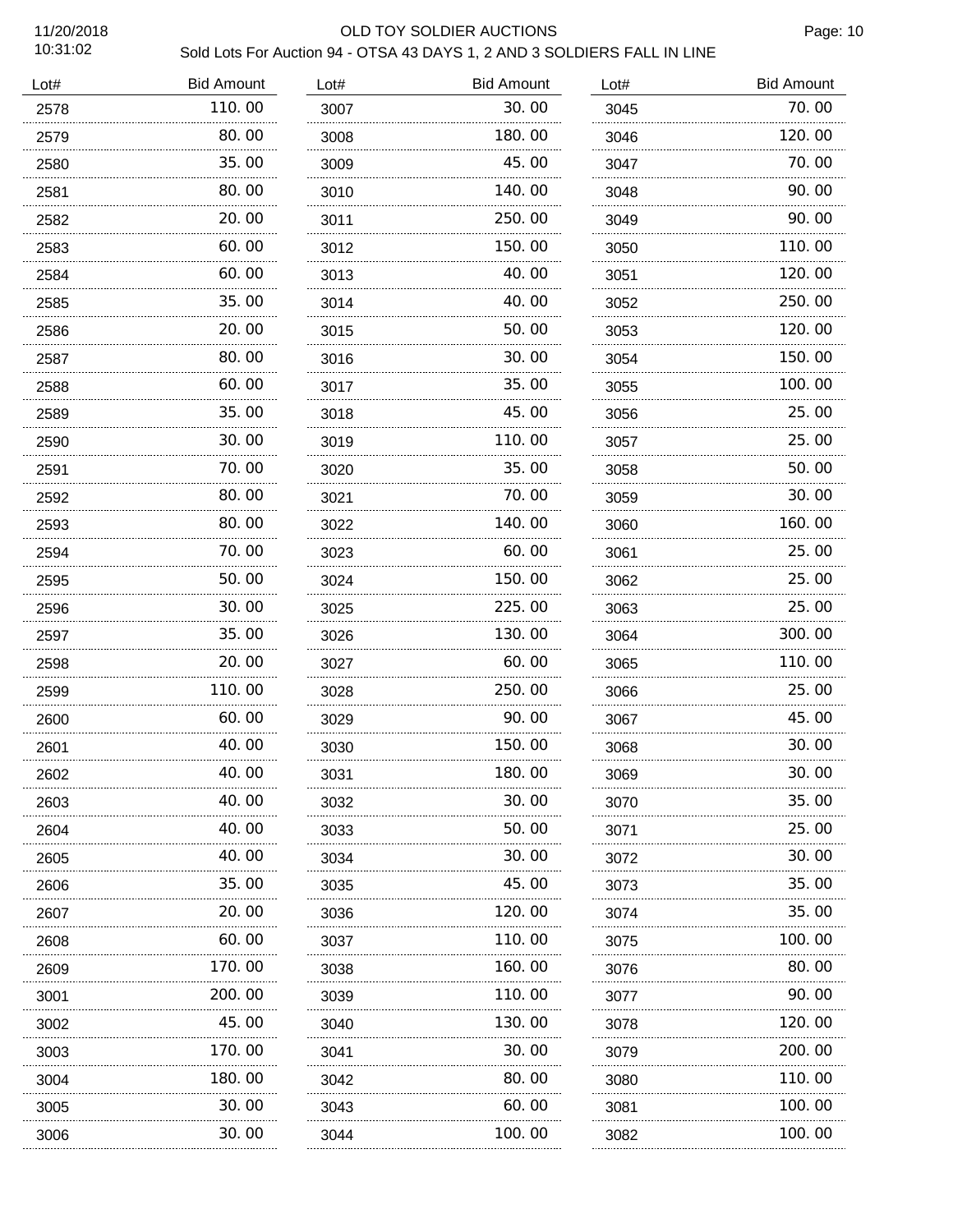### 11/20/2018 OLD TOY SOLDIER AUCTIONS

Page: 10

| <b>Bid Amount</b> | Lot#        | <b>Bid Amount</b> | Lot# | <b>Bid Amount</b> |
|-------------------|-------------|-------------------|------|-------------------|
| 110.00            | 3007        | 30.00             | 3045 | 70.00             |
| 80.00             | 3008        | 180.00            | 3046 | 120.00            |
| 35. OO            | 3009        | 45.00             | 3047 | 70. 00            |
| 80.00             | 3010        | 140.00            | 3048 | 90.00             |
| 20.00             | 3011        | 250.00            | 3049 | 90.00             |
| 60.00             | 3012        | 150.00            | 3050 | 110.00            |
| 60.00             | 3013        | 40.00             | 3051 | 120.00            |
| 35.00             | 3014        | 40.00             | 3052 | 250.00            |
| 20.00             | 3015        | 50.00             | 3053 | 120.00            |
| 80.00             | 3016        | 30.00             | 3054 | 150.00            |
| 60.00             | 3017        | 35.00             | 3055 | 100.00            |
| 35.00             | 3018        | 45.00             | 3056 | 25.00             |
| 30.00             | 3019        | 110.00            | 3057 | 25.00             |
| 70.00             | 3020        | 35.00             | 3058 | 50.00             |
| 80.00             | 3021        | 70.00             | 3059 | 30.00             |
| 80.00             | 3022        | 140.00            | 3060 | 160.00            |
| 70.00             | 3023        | 60.00             | 3061 | 25.00             |
| 50.00             | 3024        | 150.00            | 3062 | 25.00             |
| 30.00             | 3025        | 225.00            | 3063 | 25.00             |
| 35.00             | 3026        | 130.00            | 3064 | 300.00            |
| 20.00             | 3027        | 60.00             | 3065 | 110.00            |
| 110.00            | 3028        | 250.00            | 3066 | 25.00             |
| 60.00             | 3029        | 90.00             | 3067 | 45.00             |
| 40.00<br>.        | 3030        | 150.00            | 3068 | 30.00             |
| 40.00             | 3031        | 180.00            | 3069 | 30.00             |
| 40.00             | 3032        | 30.00             | 3070 | 35.00             |
| 40.00             | 3033        | 50.00             | 3071 | 25.00             |
| 40.00             | 3034        | 30.00             | 3072 | 30. 00            |
| 35.00             | 3035        | 45.00             | 3073 | 35.00             |
| 20.00             | 3036        | 120.00            | 3074 | 35.00             |
| 60.00             | 3037        | 110.00            | 3075 | 100.00            |
| 170.00            | 3038        | 160.00            | 3076 | 80.00             |
| 200. 00           | 3039        | 110.00            | 3077 | 90.00             |
| 45.00             | 3040        | 130.00            | 3078 | 120.00            |
| 170.00            | 3041        | 30. 00            | 3079 | 200.00            |
| 180.00            | 3042        | 80.00             | 3080 | 110.00            |
| 30.00             | 3043        | 60.00             | 3081 | 100.00            |
| 30. 00            | 3044        | 100.00            | 3082 | 100.00            |
|                   | .<br>.<br>. |                   |      |                   |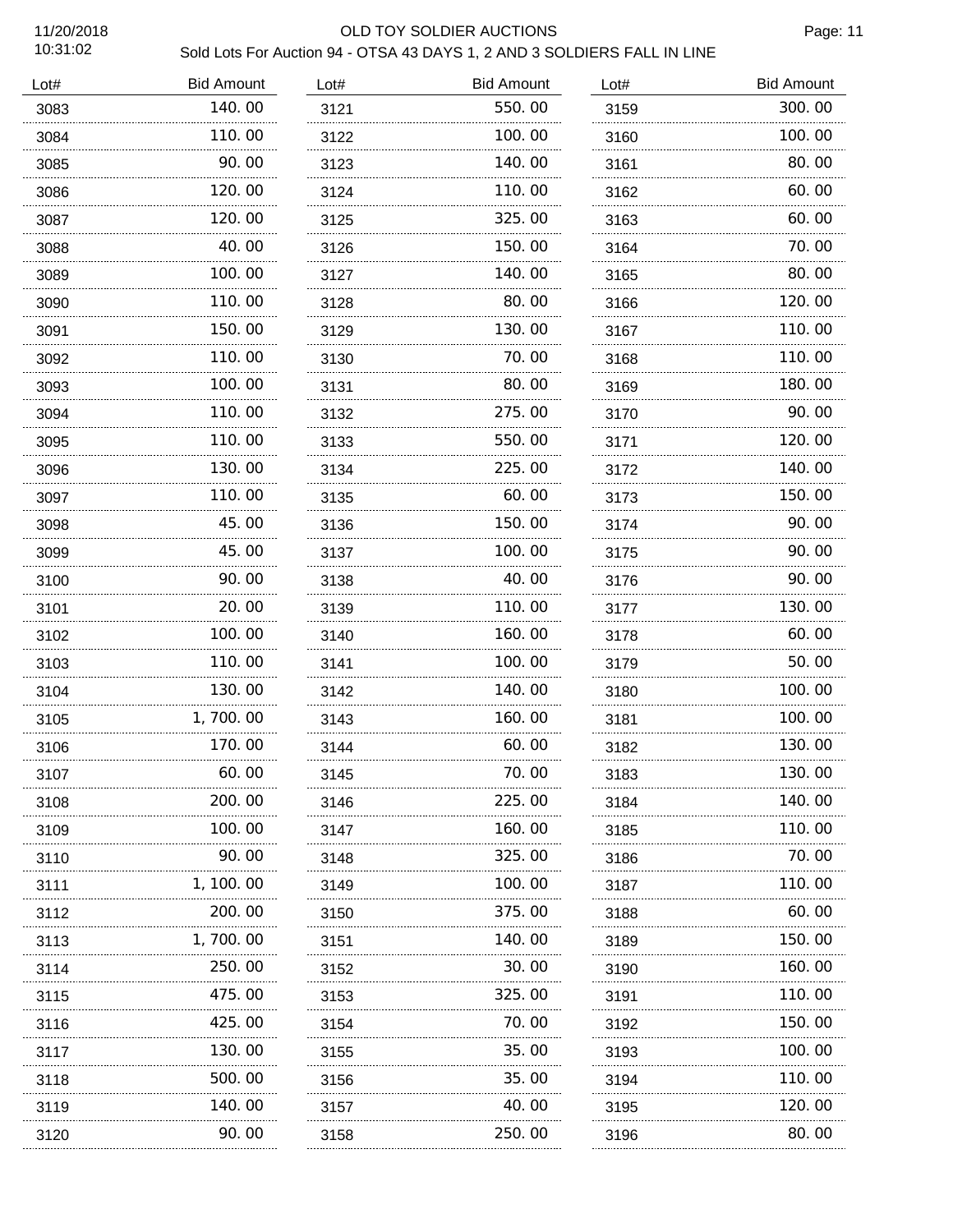# 11/20/2018 OLD TOY SOLDIER AUCTIONS

Page: 11

| 11202010<br>10:31:02 | <u>ULD TUT SULDILIN AUUTIUNU</u><br>Sold Lots For Auction 94 - OTSA 43 DAYS 1, 2 AND 3 SOLDIERS FALL IN LINE |      |                   |      |                   |  |
|----------------------|--------------------------------------------------------------------------------------------------------------|------|-------------------|------|-------------------|--|
| Lot#                 | <b>Bid Amount</b>                                                                                            | Lot# | <b>Bid Amount</b> | Lot# | <b>Bid Amount</b> |  |
| 3083                 | 140.00                                                                                                       | 3121 | 550.00            | 3159 | 300.00            |  |
| 3084                 | 110.00<br>.                                                                                                  | 3122 | 100.00            | 3160 | 100.00            |  |
| 3085                 | 90.00<br>.                                                                                                   | 3123 | 140.00<br>.       | 3161 | 80.00             |  |
| 3086                 | 120.00                                                                                                       | 3124 | 110.00            | 3162 | 60.00             |  |
| 3087                 | 120.00                                                                                                       | 3125 | 325.00            | 3163 | 60.00             |  |
| 3088                 | 40.00                                                                                                        | 3126 | 150.00            | 3164 | 70.00             |  |
| 3089                 | 100.00                                                                                                       | 3127 | 140.00            | 3165 | 80.00             |  |
| 3090                 | 110.00                                                                                                       | 3128 | 80.00             | 3166 | 120.00            |  |
| 3091                 | 150.00                                                                                                       | 3129 | 130.00            | 3167 | 110.00            |  |
| 3092                 | 110.00                                                                                                       | 3130 | 70.00             | 3168 | 110.00            |  |
| 3093                 | 100.00                                                                                                       | 3131 | 80.00             | 3169 | 180.00            |  |
| 3094                 | 110.00                                                                                                       | 3132 | 275.00            | 3170 | 90.00             |  |
| 3095                 | 110.00                                                                                                       | 3133 | 550.00            | 3171 | 120.00            |  |
| 3096                 | 130.00                                                                                                       | 3134 | 225.00            | 3172 | 140.00            |  |
| 3097                 | 110.00                                                                                                       | 3135 | 60.00             | 3173 | 150.00            |  |
| 3098                 | 45.00                                                                                                        | 3136 | 150.00            | 3174 | 90.00             |  |
| 3099                 | 45.00                                                                                                        | 3137 | 100.00            | 3175 | 90.00             |  |
| 3100                 | 90. 00                                                                                                       | 3138 | 40.00             | 3176 | 90.00             |  |
| 3101                 | 20.00                                                                                                        | 3139 | 110.00            | 3177 | 130.00            |  |
| 3102                 | 100.00                                                                                                       | 3140 | 160.00            | 3178 | 60.00             |  |
| 3103                 | 110.00                                                                                                       | 3141 | 100.00            | 3179 | 50.00             |  |
| 3104                 | 130.00                                                                                                       | 3142 | 140.00            | 3180 | 100.00            |  |
| 3105                 | 1,700.00                                                                                                     | 3143 | 160.00            | 3181 | 100.00            |  |
| 3106                 | 170.00                                                                                                       | 3144 | 60.00             | 3182 | 130.00            |  |
| 3107                 | 60.00                                                                                                        | 3145 | 70. 00            | 3183 | 130.00            |  |
| 3108                 | 200. 00                                                                                                      | 3146 | 225.00            | 3184 | 140.00            |  |
| 3109                 | 100. 00                                                                                                      | 3147 | 160.00            | 3185 | 110.00            |  |
| 3110                 | 90.00                                                                                                        | 3148 | 325.00            | 3186 | 70.00             |  |
| 3111                 | 1, 100. 00                                                                                                   | 3149 | 100. 00           | 3187 | 110.00            |  |
| 3112                 | 200.00                                                                                                       | 3150 | 375.00            | 3188 | 60.00             |  |
| 3113                 | 1, 700. 00                                                                                                   | 3151 | 140. 00           | 3189 | 150.00            |  |
| 3114                 | 250.00                                                                                                       | 3152 | 30.00             | 3190 | 160.00            |  |
| 3115                 | 475.00                                                                                                       | 3153 | 325.00            | 3191 | 110.00            |  |
| 3116                 | 425.00                                                                                                       | 3154 | 70. 00            | 3192 | 150.00            |  |
| 3117                 | 130. 00                                                                                                      | 3155 | 35. OO            | 3193 | 100.00            |  |
| 3118                 | 500. 00                                                                                                      | 3156 | 35.00             | 3194 | 110.00            |  |
| 3119                 | 140.00                                                                                                       | 3157 | 40.00             | 3195 | 120.00            |  |
| 3120                 | 90.00                                                                                                        | 3158 | 250.00            | 3196 | 80.00             |  |
|                      |                                                                                                              |      |                   |      |                   |  |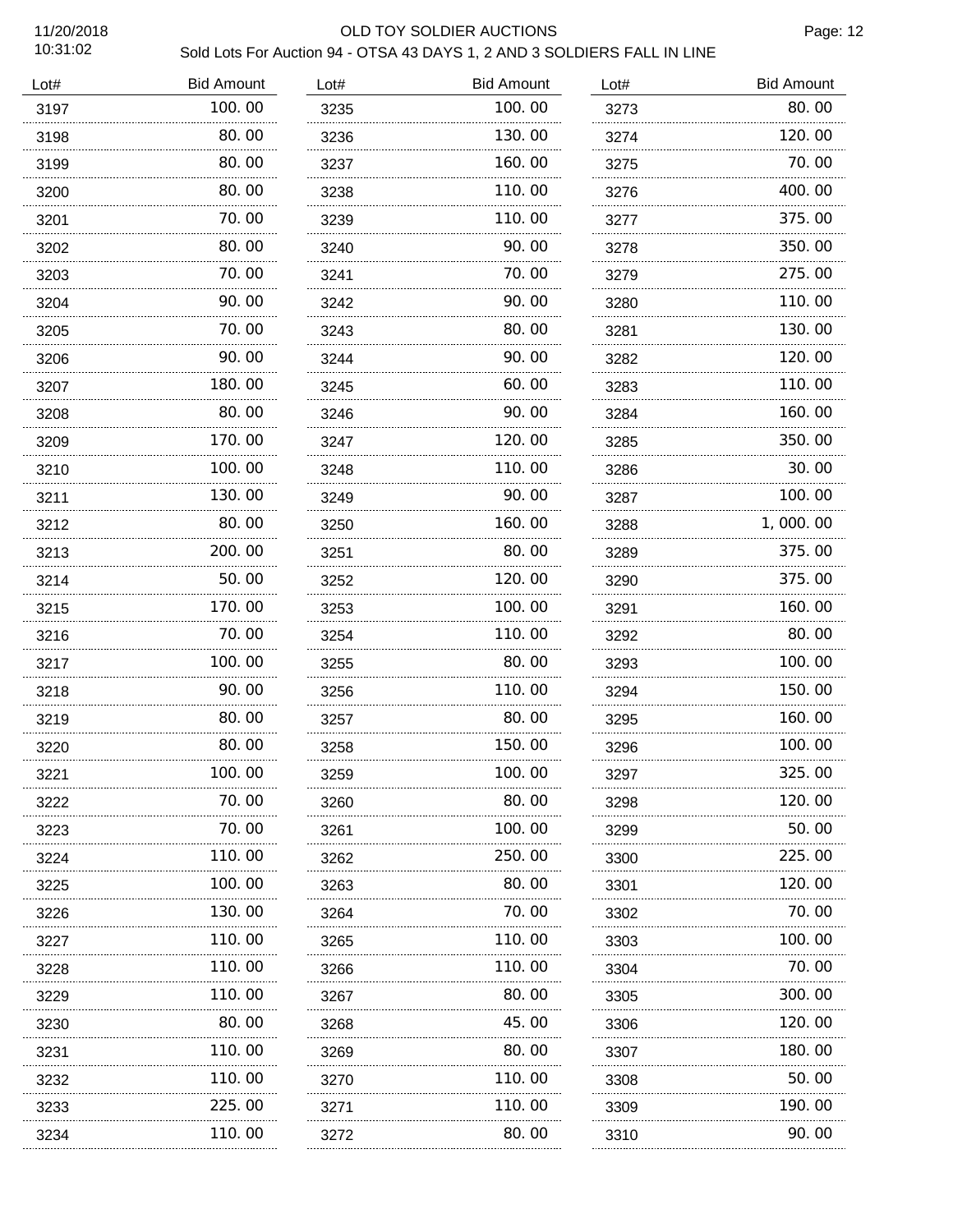### 11/20/2018 OLD TOY SOLDIER AUCTIONS

Page: 12

| Lot# | <b>Bid Amount</b> | Lot# | <b>Bid Amount</b> | Lot# | <b>Bid Amount</b> |
|------|-------------------|------|-------------------|------|-------------------|
| 3197 | 100.00            | 3235 | 100.00            | 3273 | 80.00             |
| 3198 | 80.00             | 3236 | 130.00            | 3274 | 120.00            |
| 3199 | 80.00             | 3237 | 160.00            | 3275 | 70.00             |
| 3200 | 80.00             | 3238 | 110.00            | 3276 | 400.00            |
| 3201 | 70.00             | 3239 | 110.00            | 3277 | 375.00            |
| 3202 | 80.00             | 3240 | 90.00             | 3278 | 350.00            |
| 3203 | 70.00             | 3241 | 70.00             | 3279 | 275.00            |
| 3204 | 90.00             | 3242 | 90.00             | 3280 | 110.00            |
| 3205 | 70.00             | 3243 | 80.00             | 3281 | 130.00            |
| 3206 | 90.00             | 3244 | 90.00             | 3282 | 120.00            |
| 3207 | 180.00            | 3245 | 60.00             | 3283 | 110.00            |
| 3208 | 80.00             | 3246 | 90.00             | 3284 | 160.00            |
| 3209 | 170.00            | 3247 | 120.00            | 3285 | 350.00            |
| 3210 | 100.00            | 3248 | 110.00            | 3286 | 30.00             |
| 3211 | 130.00            | 3249 | 90.00             | 3287 | 100.00            |
| 3212 | 80.00             | 3250 | 160.00            | 3288 | 1,000.00          |
| 3213 | 200.00            | 3251 | 80.00             | 3289 | 375.00            |
| 3214 | 50.00             | 3252 | 120.00            | 3290 | 375.00            |
| 3215 | 170.00            | 3253 | 100.00            | 3291 | 160.00            |
| 3216 | 70.00<br>.        | 3254 | 110.00            | 3292 | 80.00             |
| 3217 | 100.00            | 3255 | 80.00             | 3293 | 100.00            |
| 3218 | 90.00<br>.        | 3256 | 110.00            | 3294 | 150.00            |
| 3219 | 80.00             | 3257 | 80.00             | 3295 | 160.00            |
| 3220 | 80.00             | 3258 | 150.00            | 3296 | 100.00            |
| 3221 | 100.00            | 3259 | 100.00            | 3297 | 325.00            |
| 3222 | 70.00             | 3260 | 80.00             | 3298 | 120.00            |
| 3223 | 70.00<br>.        | 3261 | 100.00            | 3299 | 50.00             |
| 3224 | 110.00            | 3262 | 250.00            | 3300 | 225.00            |
| 3225 | 100. 00           | 3263 | 80.00             | 3301 | 120. 00           |
| 3226 | 130.00            | 3264 | 70.00             | 3302 | 70.00             |
| 3227 | 110.00            | 3265 | 110. 00           | 3303 | 100. 00           |
| 3228 | 110.00            | 3266 | 110.00            | 3304 | 70.00             |
| 3229 | 110.00            | 3267 | 80.00             | 3305 | 300.00            |
| 3230 | 80.00             | 3268 | 45.00             | 3306 | 120.00            |
| 3231 | 110.00            | 3269 | 80.00             | 3307 | 180.00            |
| 3232 | 110.00            | 3270 | 110. 00           | 3308 | 50.00             |
| 3233 | 225.00            | 3271 | 110.00            | 3309 | 190.00            |
| 3234 | 110.00            | 3272 | 80.00             | 3310 | 90.00             |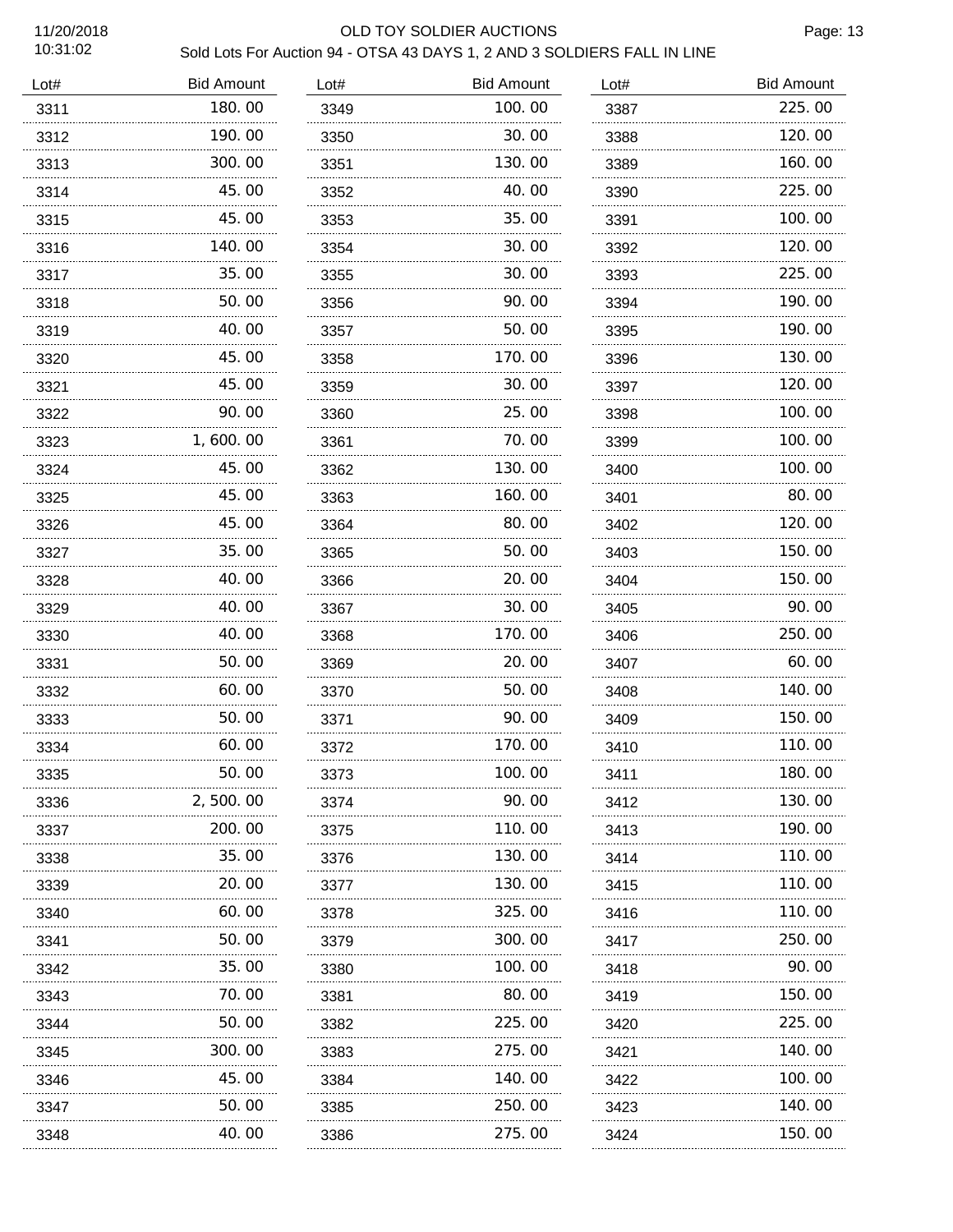## 11/20/2018 OLD TOY SOLDIER AUCTIONS

Page: 13

| Lot# | <b>Bid Amount</b> | Lot# | <b>Bid Amount</b> | Lot# | <b>Bid Amount</b> |
|------|-------------------|------|-------------------|------|-------------------|
| 3311 | 180.00            | 3349 | 100.00            | 3387 | 225.00            |
| 3312 | 190.00            | 3350 | 30.00             | 3388 | 120.00            |
| 3313 | 300.00            | 3351 | 130.00            | 3389 | 160.00            |
| 3314 | 45.00             | 3352 | 40.00             | 3390 | 225.00            |
| 3315 | 45.00             | 3353 | 35.00             | 3391 | 100.00            |
| 3316 | 140.00            | 3354 | 30.00             | 3392 | 120.00            |
| 3317 | 35.00             | 3355 | 30.00             | 3393 | 225.00            |
| 3318 | 50.00             | 3356 | 90.00             | 3394 | 190.00            |
| 3319 | 40.00             | 3357 | 50.00             | 3395 | 190.00            |
| 3320 | 45.00             | 3358 | 170.00            | 3396 | 130.00            |
| 3321 | 45.00             | 3359 | 30.00             | 3397 | 120.00            |
| 3322 | 90.00             | 3360 | 25.00             | 3398 | 100.00            |
| 3323 | 1,600.00          | 3361 | 70.00             | 3399 | 100.00            |
| 3324 | 45.00             | 3362 | 130.00            | 3400 | 100.00            |
| 3325 | 45.00             | 3363 | 160.00            | 3401 | 80.00             |
| 3326 | 45.00             | 3364 | 80.00             | 3402 | 120.00            |
| 3327 | 35.00             | 3365 | 50.00             | 3403 | 150.00            |
| 3328 | 40.00             | 3366 | 20.00             | 3404 | 150.00            |
| 3329 | 40.00             | 3367 | 30.00             | 3405 | 90.00             |
| 3330 | 40.00             | 3368 | 170.00            | 3406 | 250.00            |
| 3331 | 50.00             | 3369 | 20.00             | 3407 | 60.00             |
| 3332 | 60.00             | 3370 | 50.00             | 3408 | 140.00            |
| 3333 | 50.00             | 3371 | 90.00             | 3409 | 150.00            |
| 3334 | 60.00             | 3372 | 170.00            | 3410 | 110.00            |
| 3335 | 50. OO            | 3373 | 100. OO           | 3411 | 180. OO           |
| 3336 | 2,500.00          | 3374 | 90.00             | 3412 | 130.00            |
| 3337 | 200.00            | 3375 | 110.00            | 3413 | 190.00            |
| 3338 | 35.00             | 3376 | 130.00            | 3414 | 110.00            |
| 3339 | 20.00<br>.        | 3377 | 130.00            | 3415 | 110.00            |
| 3340 | 60.00             | 3378 | 325.00            | 3416 | 110.00            |
| 3341 | 50.00<br>.        | 3379 | 300.00            | 3417 | 250. 00           |
| 3342 | 35.00             | 3380 | 100.00            | 3418 | 90.00             |
| 3343 | 70. 00            | 3381 | 80.00             | 3419 | 150.00            |
| 3344 | 50.00             | 3382 | 225.00            | 3420 | 225.00            |
| 3345 | 300. 00           | 3383 | 275.00            | 3421 | 140.00            |
| 3346 | 45.00             | 3384 | 140.00            | 3422 | 100.00            |
| 3347 | 50.00             | 3385 | 250.00            | 3423 | 140.00            |
| 3348 | 40.00             | 3386 | 275.00            | 3424 | 150.00            |